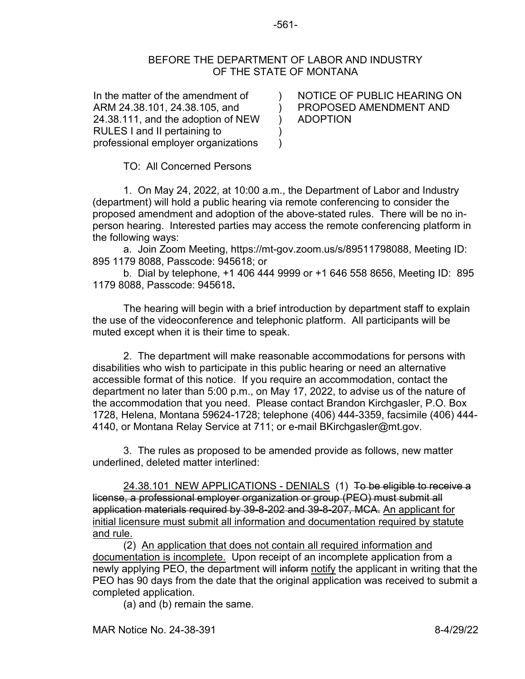## BEFORE THE DEPARTMENT OF LABOR AND INDUSTRY OF THE STATE OF MONTANA

 $\lambda$  $\mathcal{L}$ ) )  $\lambda$ 

In the matter of the amendment of ARM 24.38.101, 24.38.105, and 24.38.111, and the adoption of NEW RULES I and II pertaining to professional employer organizations

NOTICE OF PUBLIC HEARING ON PROPOSED AMENDMENT AND ADOPTION

TO: All Concerned Persons

1. On May 24, 2022, at 10:00 a.m., the Department of Labor and Industry (department) will hold a public hearing via remote conferencing to consider the proposed amendment and adoption of the above-stated rules. There will be no inperson hearing. Interested parties may access the remote conferencing platform in the following ways:

a. Join Zoom Meeting, https://mt-gov.zoom.us/s/89511798088, Meeting ID: 895 1179 8088, Passcode: 945618; or

b. Dial by telephone, +1 406 444 9999 or +1 646 558 8656, Meeting ID: 895 1179 8088, Passcode: 945618**.**

The hearing will begin with a brief introduction by department staff to explain the use of the videoconference and telephonic platform. All participants will be muted except when it is their time to speak.

2. The department will make reasonable accommodations for persons with disabilities who wish to participate in this public hearing or need an alternative accessible format of this notice. If you require an accommodation, contact the department no later than 5:00 p.m., on May 17, 2022, to advise us of the nature of the accommodation that you need. Please contact Brandon Kirchgasler, P.O. Box 1728, Helena, Montana 59624-1728; telephone (406) 444-3359, facsimile (406) 444- 4140, or Montana Relay Service at 711; or e-mail BKirchgasler@mt.gov.

 3. The rules as proposed to be amended provide as follows, new matter underlined, deleted matter interlined:

24.38.101 NEW APPLICATIONS - DENIALS (1) To be eligible to receive a license, a professional employer organization or group (PEO) must submit all application materials required by 39-8-202 and 39-8-207, MCA. An applicant for initial licensure must submit all information and documentation required by statute and rule.

(2) An application that does not contain all required information and documentation is incomplete. Upon receipt of an incomplete application from a newly applying PEO, the department will inform notify the applicant in writing that the PEO has 90 days from the date that the original application was received to submit a completed application.

(a) and (b) remain the same.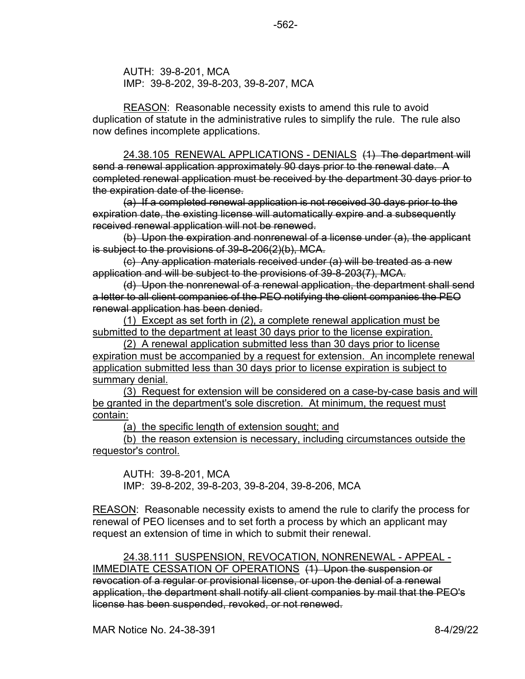AUTH: 39-8-201, MCA IMP: 39-8-202, 39-8-203, 39-8-207, MCA

REASON: Reasonable necessity exists to amend this rule to avoid duplication of statute in the administrative rules to simplify the rule. The rule also now defines incomplete applications.

24.38.105 RENEWAL APPLICATIONS - DENIALS (1) The department will send a renewal application approximately 90 days prior to the renewal date. A completed renewal application must be received by the department 30 days prior to the expiration date of the license.

(a) If a completed renewal application is not received 30 days prior to the expiration date, the existing license will automatically expire and a subsequently received renewal application will not be renewed.

(b) Upon the expiration and nonrenewal of a license under (a), the applicant is subject to the provisions of 39-8-206(2)(b), MCA.

(c) Any application materials received under (a) will be treated as a new application and will be subject to the provisions of 39-8-203(7), MCA.

(d) Upon the nonrenewal of a renewal application, the department shall send a letter to all client companies of the PEO notifying the client companies the PEO renewal application has been denied.

(1) Except as set forth in (2), a complete renewal application must be submitted to the department at least 30 days prior to the license expiration.

(2) A renewal application submitted less than 30 days prior to license expiration must be accompanied by a request for extension. An incomplete renewal application submitted less than 30 days prior to license expiration is subject to summary denial.

(3) Request for extension will be considered on a case-by-case basis and will be granted in the department's sole discretion. At minimum, the request must contain:

(a) the specific length of extension sought; and

(b) the reason extension is necessary, including circumstances outside the requestor's control.

AUTH: 39-8-201, MCA IMP: 39-8-202, 39-8-203, 39-8-204, 39-8-206, MCA

REASON: Reasonable necessity exists to amend the rule to clarify the process for renewal of PEO licenses and to set forth a process by which an applicant may request an extension of time in which to submit their renewal.

24.38.111 SUSPENSION, REVOCATION, NONRENEWAL - APPEAL - IMMEDIATE CESSATION OF OPERATIONS (1) Upon the suspension or revocation of a regular or provisional license, or upon the denial of a renewal application, the department shall notify all client companies by mail that the PEO's license has been suspended, revoked, or not renewed.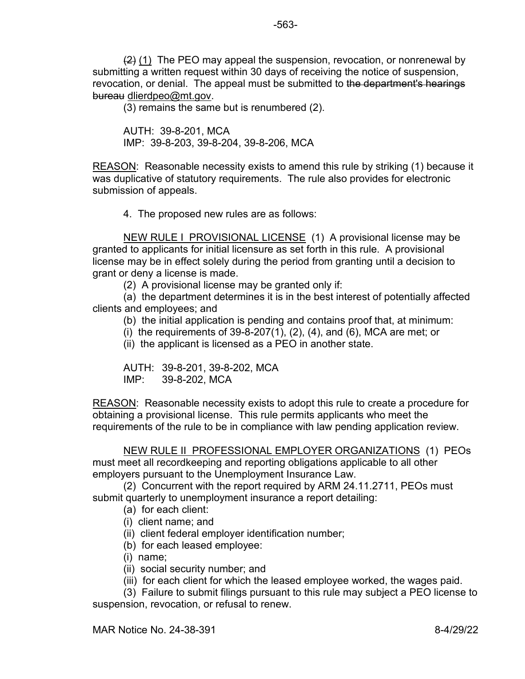$(2)$  (1) The PEO may appeal the suspension, revocation, or nonrenewal by submitting a written request within 30 days of receiving the notice of suspension, revocation, or denial. The appeal must be submitted to the department's hearings bureau dlierdpeo@mt.gov.

(3) remains the same but is renumbered (2).

AUTH: 39-8-201, MCA IMP: 39-8-203, 39-8-204, 39-8-206, MCA

REASON: Reasonable necessity exists to amend this rule by striking (1) because it was duplicative of statutory requirements. The rule also provides for electronic submission of appeals.

4. The proposed new rules are as follows:

NEW RULE I PROVISIONAL LICENSE (1) A provisional license may be granted to applicants for initial licensure as set forth in this rule. A provisional license may be in effect solely during the period from granting until a decision to grant or deny a license is made.

(2) A provisional license may be granted only if:

(a) the department determines it is in the best interest of potentially affected clients and employees; and

(b) the initial application is pending and contains proof that, at minimum:

(i) the requirements of  $39-8-207(1)$ ,  $(2)$ ,  $(4)$ , and  $(6)$ , MCA are met; or

(ii) the applicant is licensed as a PEO in another state.

AUTH: 39-8-201, 39-8-202, MCA IMP: 39-8-202, MCA

REASON: Reasonable necessity exists to adopt this rule to create a procedure for obtaining a provisional license. This rule permits applicants who meet the requirements of the rule to be in compliance with law pending application review.

NEW RULE II PROFESSIONAL EMPLOYER ORGANIZATIONS (1) PEOs must meet all recordkeeping and reporting obligations applicable to all other employers pursuant to the Unemployment Insurance Law.

(2) Concurrent with the report required by ARM 24.11.2711, PEOs must submit quarterly to unemployment insurance a report detailing:

(a) for each client:

(i) client name; and

(ii) client federal employer identification number;

(b) for each leased employee:

(i) name;

(ii) social security number; and

(iii) for each client for which the leased employee worked, the wages paid.

 (3) Failure to submit filings pursuant to this rule may subject a PEO license to suspension, revocation, or refusal to renew.